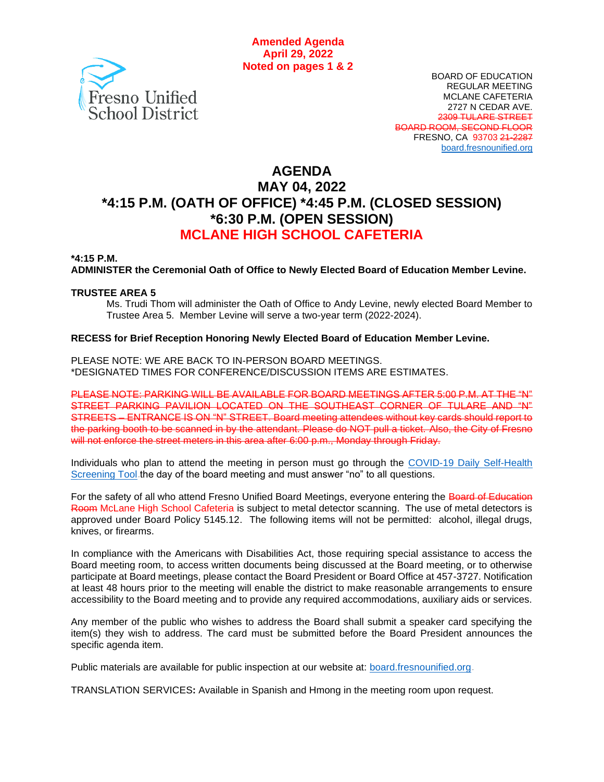

BOARD OF EDUCATION REGULAR MEETING MCLANE CAFETERIA 2727 N CEDAR AVE. 2309 TULARE STREET BOARD ROOM, SECOND FLOOR FRESNO, CA 93703 21-2287 [board.fresnounified.org](https://board.fresnounified.org/)

# **AGENDA MAY 04, 2022 \*4:15 P.M. (OATH OF OFFICE) \*4:45 P.M. (CLOSED SESSION) \*6:30 P.M. (OPEN SESSION) MCLANE HIGH SCHOOL CAFETERIA**

#### **\*4:15 P.M.**

**ADMINISTER the Ceremonial Oath of Office to Newly Elected Board of Education Member Levine.**

#### **TRUSTEE AREA 5**

Ms. Trudi Thom will administer the Oath of Office to Andy Levine, newly elected Board Member to Trustee Area 5. Member Levine will serve a two-year term (2022-2024).

#### **RECESS for Brief Reception Honoring Newly Elected Board of Education Member Levine.**

PLEASE NOTE: WE ARE BACK TO IN-PERSON BOARD MEETINGS. \*DESIGNATED TIMES FOR CONFERENCE/DISCUSSION ITEMS ARE ESTIMATES.

PLEASE NOTE: PARKING WILL BE AVAILABLE FOR BOARD MEETINGS AFTER 5:00 P.M. AT THE "N" STREET PARKING PAVILION LOCATED ON THE SOUTHEAST CORNER OF TULARE AND "N" STREETS – ENTRANCE IS ON "N" STREET. Board meeting attendees without key cards should report to the parking booth to be scanned in by the attendant. Please do NOT pull a ticket. Also, the City of Fresno will not enforce the street meters in this area after 6:00 p.m., Monday through Friday.

Individuals who plan to attend the meeting in person must go through the COVID-19 Daily Self-Health [Screening Tool](https://www.fresnounified.org/covid19/) the day of the board meeting and must answer "no" to all questions.

For the safety of all who attend Fresno Unified Board Meetings, everyone entering the Board of Education Room McLane High School Cafeteria is subject to metal detector scanning. The use of metal detectors is approved under Board Policy 5145.12. The following items will not be permitted: alcohol, illegal drugs, knives, or firearms.

In compliance with the Americans with Disabilities Act, those requiring special assistance to access the Board meeting room, to access written documents being discussed at the Board meeting, or to otherwise participate at Board meetings, please contact the Board President or Board Office at 457-3727. Notification at least 48 hours prior to the meeting will enable the district to make reasonable arrangements to ensure accessibility to the Board meeting and to provide any required accommodations, auxiliary aids or services.

Any member of the public who wishes to address the Board shall submit a speaker card specifying the item(s) they wish to address. The card must be submitted before the Board President announces the specific agenda item.

Public materials are available for public inspection at our website at: **[board.fresnounified.org](https://board.fresnounified.org/)**.

TRANSLATION SERVICES**:** Available in Spanish and Hmong in the meeting room upon request.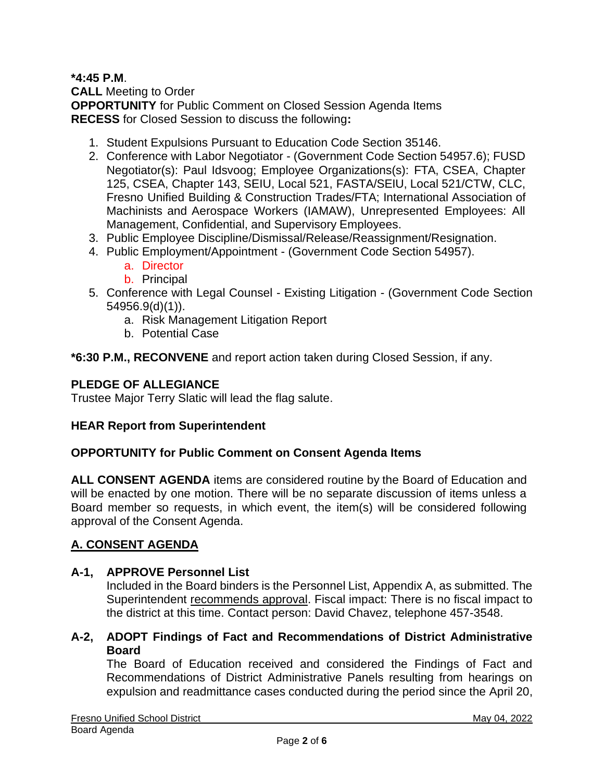# **\*4:45 P.M**.

**CALL** Meeting to Order **OPPORTUNITY** for Public Comment on Closed Session Agenda Items **RECESS** for Closed Session to discuss the following**:**

- 1. Student Expulsions Pursuant to Education Code Section 35146.
- 2. Conference with Labor Negotiator (Government Code Section 54957.6); FUSD Negotiator(s): Paul Idsvoog; Employee Organizations(s): FTA, CSEA, Chapter 125, CSEA, Chapter 143, SEIU, Local 521, FASTA/SEIU, Local 521/CTW, CLC, Fresno Unified Building & Construction Trades/FTA; International Association of Machinists and Aerospace Workers (IAMAW), Unrepresented Employees: All Management, Confidential, and Supervisory Employees.
- 3. Public Employee Discipline/Dismissal/Release/Reassignment/Resignation.
- 4. Public Employment/Appointment (Government Code Section 54957).
	- a. Director
	- b. Principal
- 5. Conference with Legal Counsel Existing Litigation (Government Code Section 54956.9(d)(1)).
	- a. Risk Management Litigation Report
	- b. Potential Case

**\*6:30 P.M., RECONVENE** and report action taken during Closed Session, if any.

# **PLEDGE OF ALLEGIANCE**

Trustee Major Terry Slatic will lead the flag salute.

# **HEAR Report from Superintendent**

#### **OPPORTUNITY for Public Comment on Consent Agenda Items**

**ALL CONSENT AGENDA** items are considered routine by the Board of Education and will be enacted by one motion. There will be no separate discussion of items unless a Board member so requests, in which event, the item(s) will be considered following approval of the Consent Agenda.

# **A. CONSENT AGENDA**

#### **A-1, APPROVE Personnel List**

Included in the Board binders is the Personnel List, Appendix A, as submitted. The Superintendent recommends approval. Fiscal impact: There is no fiscal impact to the district at this time. Contact person: David Chavez, telephone 457-3548.

### **A-2, ADOPT Findings of Fact and Recommendations of District Administrative Board**

The Board of Education received and considered the Findings of Fact and Recommendations of District Administrative Panels resulting from hearings on expulsion and readmittance cases conducted during the period since the April 20,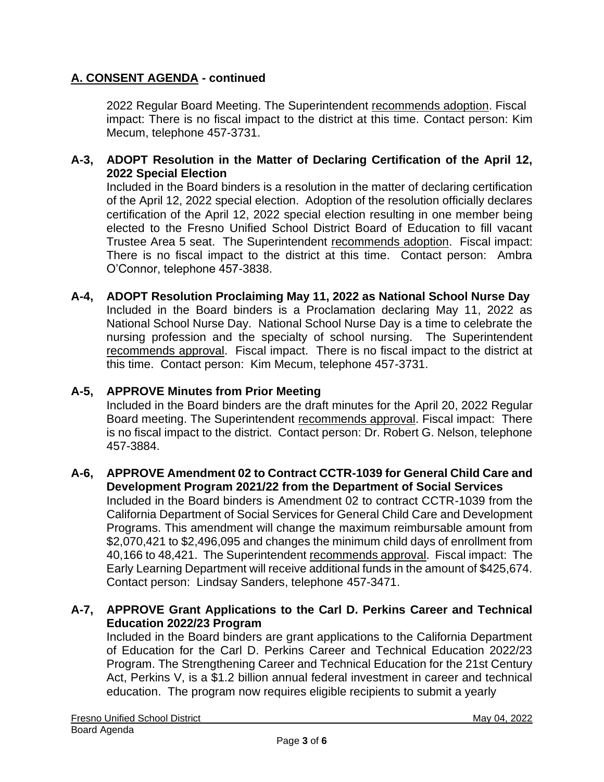# **A. CONSENT AGENDA - continued**

2022 Regular Board Meeting. The Superintendent recommends adoption. Fiscal impact: There is no fiscal impact to the district at this time. Contact person: Kim Mecum, telephone 457-3731.

### **A-3, ADOPT Resolution in the Matter of Declaring Certification of the April 12, 2022 Special Election**

Included in the Board binders is a resolution in the matter of declaring certification of the April 12, 2022 special election. Adoption of the resolution officially declares certification of the April 12, 2022 special election resulting in one member being elected to the Fresno Unified School District Board of Education to fill vacant Trustee Area 5 seat. The Superintendent recommends adoption. Fiscal impact: There is no fiscal impact to the district at this time. Contact person: Ambra O'Connor, telephone 457-3838.

**A-4, ADOPT Resolution Proclaiming May 11, 2022 as National School Nurse Day** Included in the Board binders is a Proclamation declaring May 11, 2022 as National School Nurse Day. National School Nurse Day is a time to celebrate the nursing profession and the specialty of school nursing. The Superintendent recommends approval. Fiscal impact. There is no fiscal impact to the district at this time. Contact person: Kim Mecum, telephone 457-3731.

#### **A-5, APPROVE Minutes from Prior Meeting**

Included in the Board binders are the draft minutes for the April 20, 2022 Regular Board meeting. The Superintendent recommends approval. Fiscal impact: There is no fiscal impact to the district. Contact person: Dr. Robert G. Nelson, telephone 457-3884.

#### **A-6, APPROVE Amendment 02 to Contract CCTR-1039 for General Child Care and Development Program 2021/22 from the Department of Social Services**

Included in the Board binders is Amendment 02 to contract CCTR-1039 from the California Department of Social Services for General Child Care and Development Programs. This amendment will change the maximum reimbursable amount from \$2,070,421 to \$2,496,095 and changes the minimum child days of enrollment from 40,166 to 48,421. The Superintendent recommends approval. Fiscal impact: The Early Learning Department will receive additional funds in the amount of \$425,674. Contact person: Lindsay Sanders, telephone 457-3471.

### **A-7, APPROVE Grant Applications to the Carl D. Perkins Career and Technical Education 2022/23 Program**

Included in the Board binders are grant applications to the California Department of Education for the Carl D. Perkins Career and Technical Education 2022/23 Program. The Strengthening Career and Technical Education for the 21st Century Act, Perkins V, is a \$1.2 billion annual federal investment in career and technical education. The program now requires eligible recipients to submit a yearly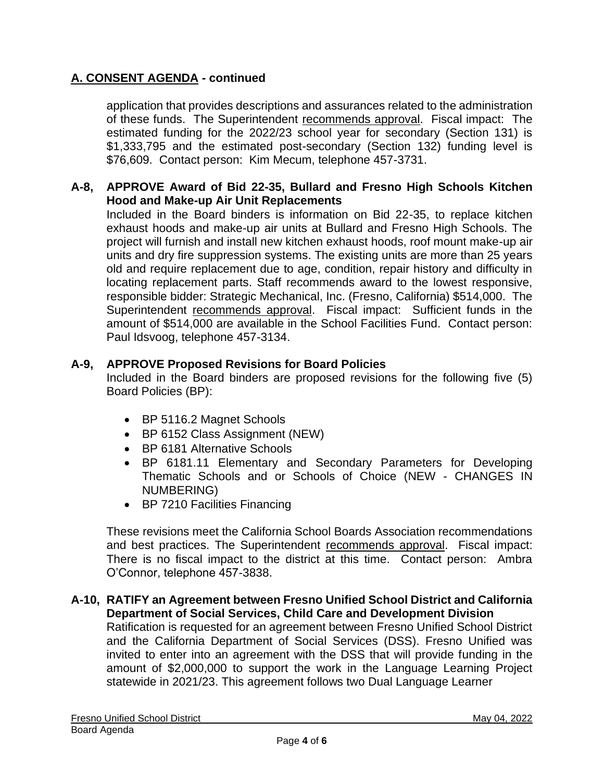# **A. CONSENT AGENDA - continued**

application that provides descriptions and assurances related to the administration of these funds. The Superintendent recommends approval. Fiscal impact: The estimated funding for the 2022/23 school year for secondary (Section 131) is \$1,333,795 and the estimated post-secondary (Section 132) funding level is \$76,609. Contact person: Kim Mecum, telephone 457-3731.

# **A-8, APPROVE Award of Bid 22-35, Bullard and Fresno High Schools Kitchen Hood and Make-up Air Unit Replacements**

Included in the Board binders is information on Bid 22-35, to replace kitchen exhaust hoods and make-up air units at Bullard and Fresno High Schools. The project will furnish and install new kitchen exhaust hoods, roof mount make-up air units and dry fire suppression systems. The existing units are more than 25 years old and require replacement due to age, condition, repair history and difficulty in locating replacement parts. Staff recommends award to the lowest responsive, responsible bidder: Strategic Mechanical, Inc. (Fresno, California) \$514,000. The Superintendent recommends approval. Fiscal impact: Sufficient funds in the amount of \$514,000 are available in the School Facilities Fund. Contact person: Paul Idsvoog, telephone 457-3134.

# **A-9, APPROVE Proposed Revisions for Board Policies**

Included in the Board binders are proposed revisions for the following five (5) Board Policies (BP):

- BP 5116.2 Magnet Schools
- BP 6152 Class Assignment (NEW)
- BP 6181 Alternative Schools
- BP 6181.11 Elementary and Secondary Parameters for Developing Thematic Schools and or Schools of Choice (NEW - CHANGES IN NUMBERING)
- BP 7210 Facilities Financing

These revisions meet the California School Boards Association recommendations and best practices. The Superintendent recommends approval. Fiscal impact: There is no fiscal impact to the district at this time. Contact person: Ambra O'Connor, telephone 457-3838.

#### **A-10, RATIFY an Agreement between Fresno Unified School District and California Department of Social Services, Child Care and Development Division**

Ratification is requested for an agreement between Fresno Unified School District and the California Department of Social Services (DSS). Fresno Unified was invited to enter into an agreement with the DSS that will provide funding in the amount of \$2,000,000 to support the work in the Language Learning Project statewide in 2021/23. This agreement follows two Dual Language Learner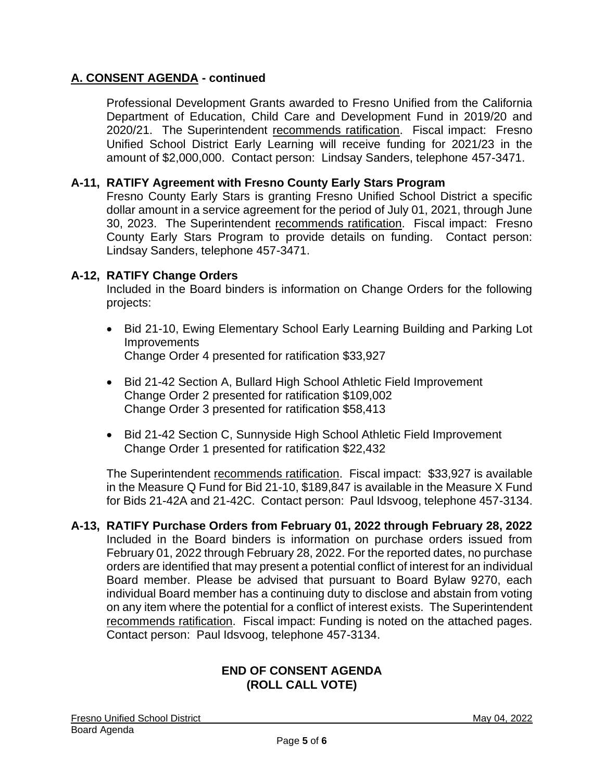# **A. CONSENT AGENDA - continued**

Professional Development Grants awarded to Fresno Unified from the California Department of Education, Child Care and Development Fund in 2019/20 and 2020/21. The Superintendent recommends ratification. Fiscal impact: Fresno Unified School District Early Learning will receive funding for 2021/23 in the amount of \$2,000,000. Contact person: Lindsay Sanders, telephone 457-3471.

# **A-11, RATIFY Agreement with Fresno County Early Stars Program**

Fresno County Early Stars is granting Fresno Unified School District a specific dollar amount in a service agreement for the period of July 01, 2021, through June 30, 2023. The Superintendent recommends ratification. Fiscal impact: Fresno County Early Stars Program to provide details on funding. Contact person: Lindsay Sanders, telephone 457-3471.

### **A-12, RATIFY Change Orders**

Included in the Board binders is information on Change Orders for the following projects:

- Bid 21-10, Ewing Elementary School Early Learning Building and Parking Lot **Improvements** Change Order 4 presented for ratification \$33,927
- Bid 21-42 Section A, Bullard High School Athletic Field Improvement Change Order 2 presented for ratification \$109,002 Change Order 3 presented for ratification \$58,413
- Bid 21-42 Section C, Sunnyside High School Athletic Field Improvement Change Order 1 presented for ratification \$22,432

The Superintendent recommends ratification. Fiscal impact: \$33,927 is available in the Measure Q Fund for Bid 21-10, \$189,847 is available in the Measure X Fund for Bids 21-42A and 21-42C. Contact person: Paul Idsvoog, telephone 457-3134.

**A-13, RATIFY Purchase Orders from February 01, 2022 through February 28, 2022** Included in the Board binders is information on purchase orders issued from February 01, 2022 through February 28, 2022. For the reported dates, no purchase orders are identified that may present a potential conflict of interest for an individual Board member. Please be advised that pursuant to Board Bylaw 9270, each individual Board member has a continuing duty to disclose and abstain from voting on any item where the potential for a conflict of interest exists. The Superintendent recommends ratification. Fiscal impact: Funding is noted on the attached pages. Contact person: Paul Idsvoog, telephone 457-3134.

#### **END OF CONSENT AGENDA (ROLL CALL VOTE)**